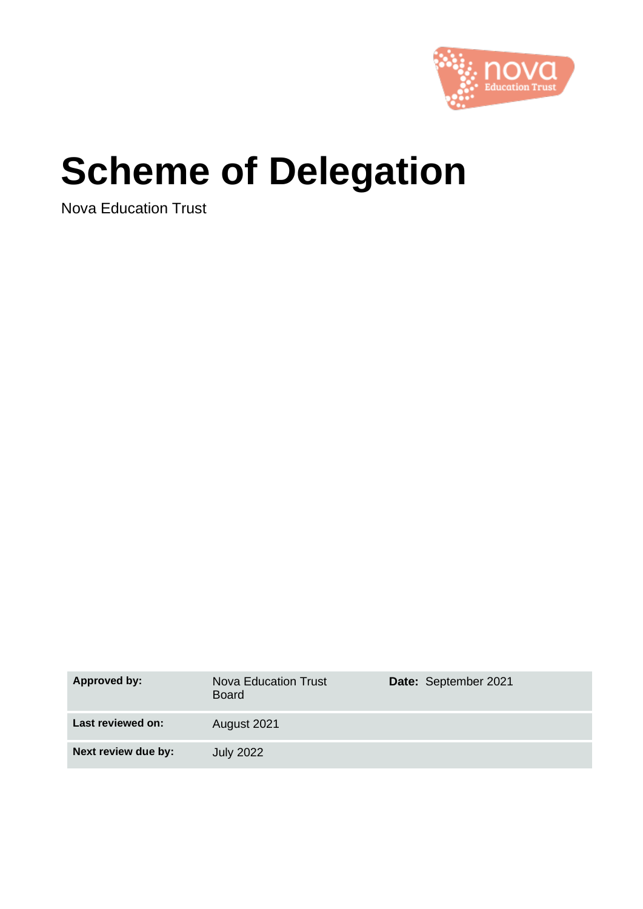

# **Scheme of Delegation**

Nova Education Trust

| <b>Approved by:</b> | <b>Nova Education Trust</b><br><b>Board</b> | Date: September 2021 |
|---------------------|---------------------------------------------|----------------------|
| Last reviewed on:   | August 2021                                 |                      |
| Next review due by: | <b>July 2022</b>                            |                      |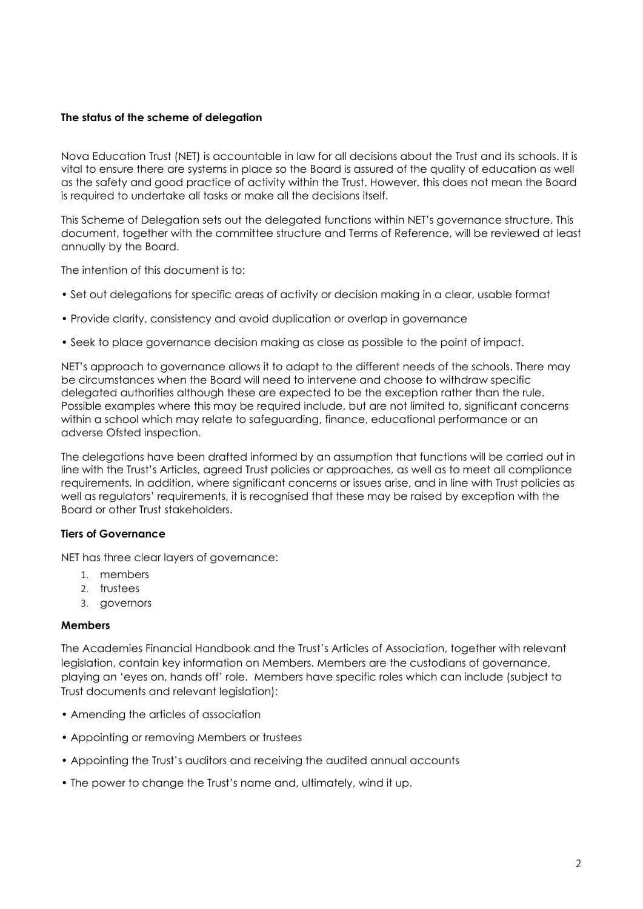## **The status of the scheme of delegation**

Nova Education Trust (NET) is accountable in law for all decisions about the Trust and its schools. It is vital to ensure there are systems in place so the Board is assured of the quality of education as well as the safety and good practice of activity within the Trust. However, this does not mean the Board is required to undertake all tasks or make all the decisions itself.

This Scheme of Delegation sets out the delegated functions within NET's governance structure. This document, together with the committee structure and Terms of Reference, will be reviewed at least annually by the Board.

The intention of this document is to:

- Set out delegations for specific areas of activity or decision making in a clear, usable format
- Provide clarity, consistency and avoid duplication or overlap in governance
- Seek to place governance decision making as close as possible to the point of impact.

NET's approach to governance allows it to adapt to the different needs of the schools. There may be circumstances when the Board will need to intervene and choose to withdraw specific delegated authorities although these are expected to be the exception rather than the rule. Possible examples where this may be required include, but are not limited to, significant concerns within a school which may relate to safeguarding, finance, educational performance or an adverse Ofsted inspection.

The delegations have been drafted informed by an assumption that functions will be carried out in line with the Trust's Articles, agreed Trust policies or approaches, as well as to meet all compliance requirements. In addition, where significant concerns or issues arise, and in line with Trust policies as well as regulators' requirements, it is recognised that these may be raised by exception with the Board or other Trust stakeholders.

## **Tiers of Governance**

NET has three clear layers of governance:

- 1. members
- 2. trustees
- 3. governors

#### **Members**

The Academies Financial Handbook and the Trust's Articles of Association, together with relevant legislation, contain key information on Members. Members are the custodians of governance, playing an 'eyes on, hands off' role. Members have specific roles which can include (subject to Trust documents and relevant legislation):

- Amending the articles of association
- Appointing or removing Members or trustees
- Appointing the Trust's auditors and receiving the audited annual accounts
- The power to change the Trust's name and, ultimately, wind it up.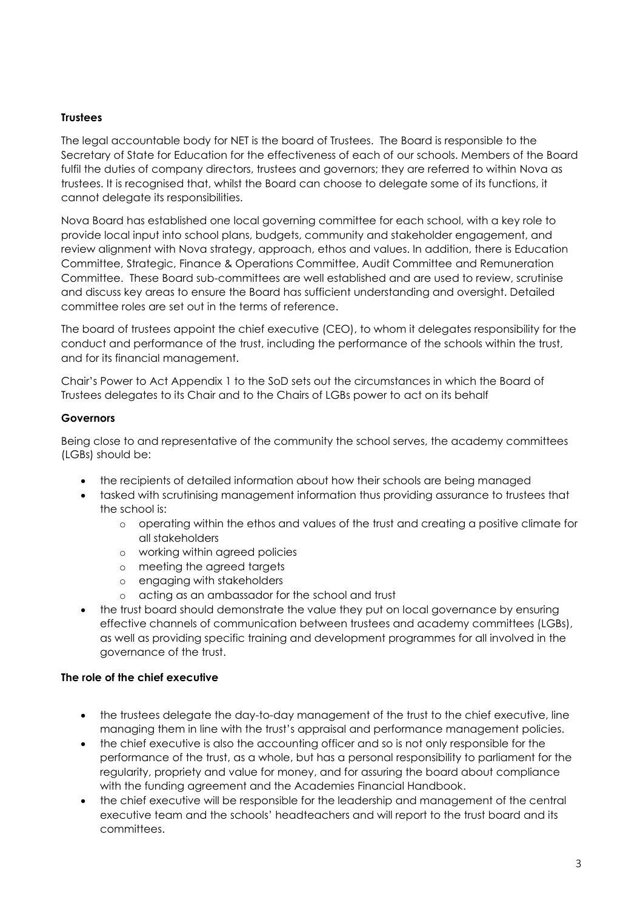## **Trustees**

The legal accountable body for NET is the board of Trustees. The Board is responsible to the Secretary of State for Education for the effectiveness of each of our schools. Members of the Board fulfil the duties of company directors, trustees and governors; they are referred to within Nova as trustees. It is recognised that, whilst the Board can choose to delegate some of its functions, it cannot delegate its responsibilities.

Nova Board has established one local governing committee for each school, with a key role to provide local input into school plans, budgets, community and stakeholder engagement, and review alignment with Nova strategy, approach, ethos and values. In addition, there is Education Committee, Strategic, Finance & Operations Committee, Audit Committee and Remuneration Committee. These Board sub-committees are well established and are used to review, scrutinise and discuss key areas to ensure the Board has sufficient understanding and oversight. Detailed committee roles are set out in the terms of reference.

The board of trustees appoint the chief executive (CEO), to whom it delegates responsibility for the conduct and performance of the trust, including the performance of the schools within the trust, and for its financial management.

Chair's Power to Act Appendix 1 to the SoD sets out the circumstances in which the Board of Trustees delegates to its Chair and to the Chairs of LGBs power to act on its behalf

## **Governors**

Being close to and representative of the community the school serves, the academy committees (LGBs) should be:

- the recipients of detailed information about how their schools are being managed
- tasked with scrutinising management information thus providing assurance to trustees that the school is:
	- o operating within the ethos and values of the trust and creating a positive climate for all stakeholders
	- o working within agreed policies
	- o meeting the agreed targets
	- o engaging with stakeholders
	- o acting as an ambassador for the school and trust
- the trust board should demonstrate the value they put on local governance by ensuring effective channels of communication between trustees and academy committees (LGBs), as well as providing specific training and development programmes for all involved in the governance of the trust.

## **The role of the chief executive**

- the trustees delegate the day-to-day management of the trust to the chief executive, line managing them in line with the trust's appraisal and performance management policies.
- the chief executive is also the accounting officer and so is not only responsible for the performance of the trust, as a whole, but has a personal responsibility to parliament for the regularity, propriety and value for money, and for assuring the board about compliance with the funding agreement and the Academies Financial Handbook.
- the chief executive will be responsible for the leadership and management of the central executive team and the schools' headteachers and will report to the trust board and its committees.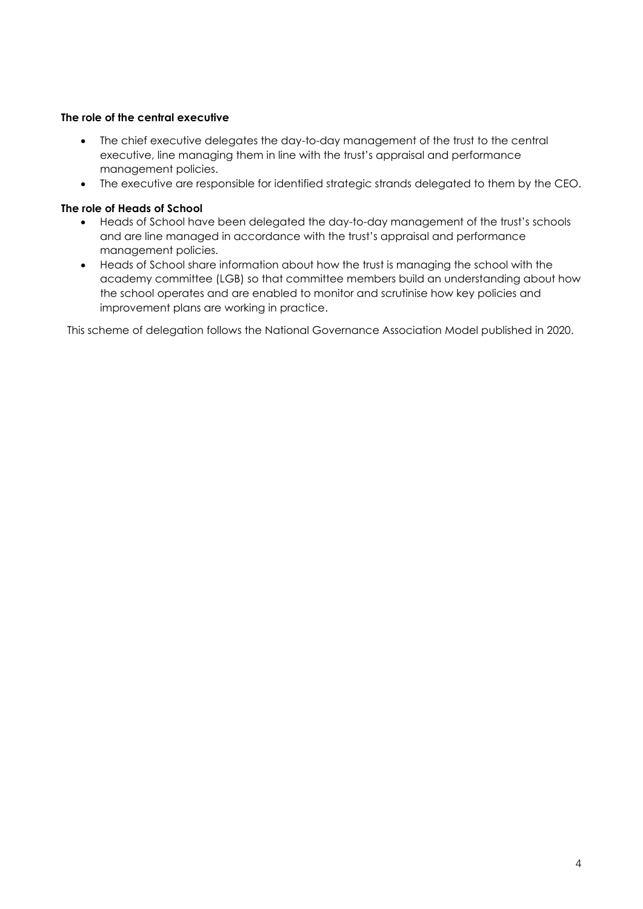## **The role of the central executive**

- The chief executive delegates the day-to-day management of the trust to the central executive, line managing them in line with the trust's appraisal and performance management policies.
- The executive are responsible for identified strategic strands delegated to them by the CEO.

## **The role of Heads of School**

- Heads of School have been delegated the day-to-day management of the trust's schools and are line managed in accordance with the trust's appraisal and performance management policies.
- Heads of School share information about how the trust is managing the school with the academy committee (LGB) so that committee members build an understanding about how the school operates and are enabled to monitor and scrutinise how key policies and improvement plans are working in practice.

This scheme of delegation follows the National Governance Association Model published in 2020.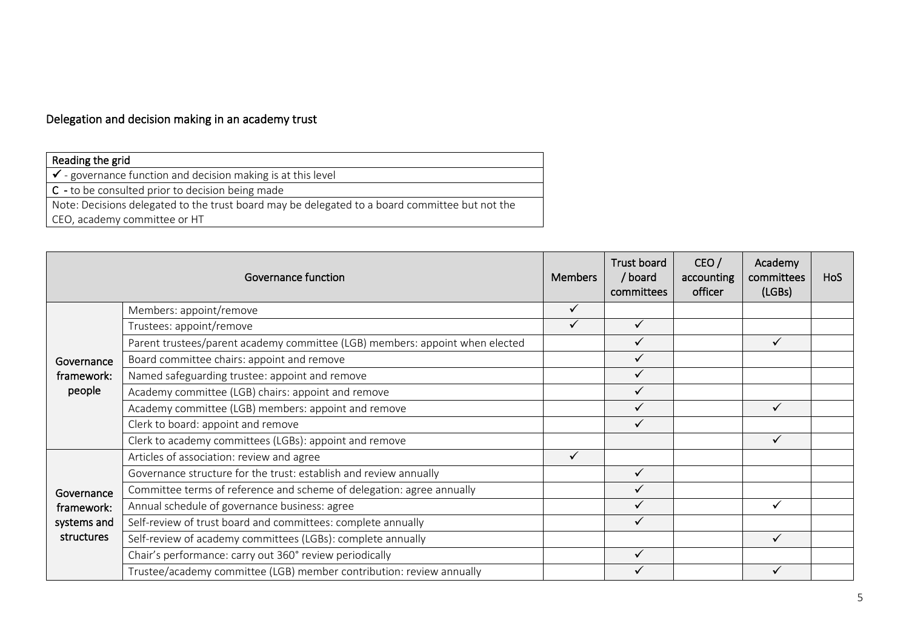## Delegation and decision making in an academy trust

| Reading the grid                                                                               |
|------------------------------------------------------------------------------------------------|
| $\checkmark$ - governance function and decision making is at this level                        |
| C - to be consulted prior to decision being made                                               |
| Note: Decisions delegated to the trust board may be delegated to a board committee but not the |
| CEO, academy committee or HT                                                                   |

| Governance function |                                                                              | <b>Members</b> | Trust board<br>/ board<br>committees | CEO/<br>accounting<br>officer | Academy<br>committees<br>(LGBs) | <b>HoS</b> |
|---------------------|------------------------------------------------------------------------------|----------------|--------------------------------------|-------------------------------|---------------------------------|------------|
|                     | Members: appoint/remove                                                      |                |                                      |                               |                                 |            |
|                     | Trustees: appoint/remove                                                     | $\checkmark$   | $\checkmark$                         |                               |                                 |            |
|                     | Parent trustees/parent academy committee (LGB) members: appoint when elected |                | $\checkmark$                         |                               | ✓                               |            |
| Governance          | Board committee chairs: appoint and remove                                   |                | $\checkmark$                         |                               |                                 |            |
| framework:          | Named safeguarding trustee: appoint and remove                               |                | $\checkmark$                         |                               |                                 |            |
| people              | Academy committee (LGB) chairs: appoint and remove                           |                | $\checkmark$                         |                               |                                 |            |
|                     | Academy committee (LGB) members: appoint and remove                          |                |                                      |                               |                                 |            |
|                     | Clerk to board: appoint and remove                                           |                |                                      |                               |                                 |            |
|                     | Clerk to academy committees (LGBs): appoint and remove                       |                |                                      |                               | ✓                               |            |
|                     | Articles of association: review and agree                                    | ✓              |                                      |                               |                                 |            |
|                     | Governance structure for the trust: establish and review annually            |                | $\checkmark$                         |                               |                                 |            |
| Governance          | Committee terms of reference and scheme of delegation: agree annually        |                | $\checkmark$                         |                               |                                 |            |
| framework:          | Annual schedule of governance business: agree                                |                | $\checkmark$                         |                               | ✓                               |            |
| systems and         | Self-review of trust board and committees: complete annually                 |                | $\checkmark$                         |                               |                                 |            |
| structures          | Self-review of academy committees (LGBs): complete annually                  |                |                                      |                               |                                 |            |
|                     | Chair's performance: carry out 360° review periodically                      |                | $\checkmark$                         |                               |                                 |            |
|                     | Trustee/academy committee (LGB) member contribution: review annually         |                |                                      |                               |                                 |            |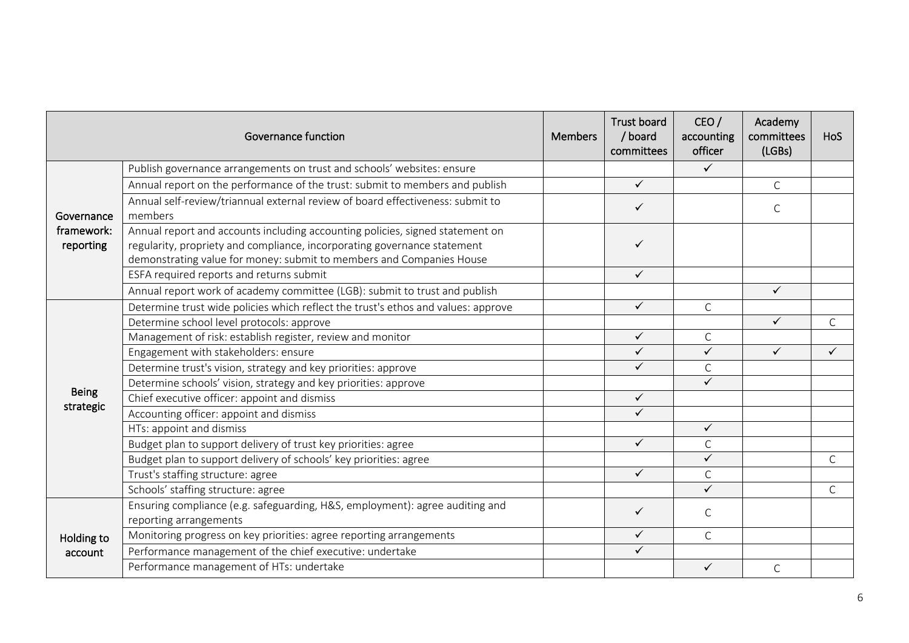|                       | Governance function                                                                                    | <b>Members</b> | <b>Trust board</b><br>/ board<br>committees | CEO/<br>accounting<br>officer | Academy<br>committees<br>(LGBs) | HoS          |
|-----------------------|--------------------------------------------------------------------------------------------------------|----------------|---------------------------------------------|-------------------------------|---------------------------------|--------------|
|                       | Publish governance arrangements on trust and schools' websites: ensure                                 |                |                                             | $\checkmark$                  |                                 |              |
|                       | Annual report on the performance of the trust: submit to members and publish                           |                | $\checkmark$                                |                               | $\mathsf{C}$                    |              |
| Governance            | Annual self-review/triannual external review of board effectiveness: submit to<br>members              |                | $\checkmark$                                |                               | $\mathsf C$                     |              |
| framework:            | Annual report and accounts including accounting policies, signed statement on                          |                |                                             |                               |                                 |              |
| reporting             | regularity, propriety and compliance, incorporating governance statement                               |                | ✓                                           |                               |                                 |              |
|                       | demonstrating value for money: submit to members and Companies House                                   |                |                                             |                               |                                 |              |
|                       | ESFA required reports and returns submit                                                               |                | $\checkmark$                                |                               |                                 |              |
|                       | Annual report work of academy committee (LGB): submit to trust and publish                             |                |                                             |                               | $\checkmark$                    |              |
|                       | Determine trust wide policies which reflect the trust's ethos and values: approve                      |                | $\checkmark$                                | C                             |                                 |              |
|                       | Determine school level protocols: approve                                                              |                |                                             |                               | $\checkmark$                    | $\mathsf{C}$ |
|                       | Management of risk: establish register, review and monitor                                             |                | $\checkmark$                                | С                             |                                 |              |
|                       | Engagement with stakeholders: ensure                                                                   |                | $\checkmark$                                | $\checkmark$                  | $\checkmark$                    | ✓            |
|                       | Determine trust's vision, strategy and key priorities: approve                                         |                | ✓                                           | С                             |                                 |              |
|                       | Determine schools' vision, strategy and key priorities: approve                                        |                |                                             | $\checkmark$                  |                                 |              |
| <b>Being</b>          | Chief executive officer: appoint and dismiss                                                           |                | $\checkmark$                                |                               |                                 |              |
| strategic             | Accounting officer: appoint and dismiss                                                                |                | $\checkmark$                                |                               |                                 |              |
|                       | HTs: appoint and dismiss                                                                               |                |                                             | $\checkmark$                  |                                 |              |
|                       | Budget plan to support delivery of trust key priorities: agree                                         |                | $\checkmark$                                | $\mathsf C$                   |                                 |              |
|                       | Budget plan to support delivery of schools' key priorities: agree                                      |                |                                             | $\overline{\checkmark}$       |                                 | $\mathsf{C}$ |
|                       | Trust's staffing structure: agree                                                                      |                | $\checkmark$                                | С                             |                                 |              |
|                       | Schools' staffing structure: agree                                                                     |                |                                             | $\checkmark$                  |                                 | $\mathsf{C}$ |
| Holding to<br>account | Ensuring compliance (e.g. safeguarding, H&S, employment): agree auditing and<br>reporting arrangements |                | ✓                                           | C                             |                                 |              |
|                       | Monitoring progress on key priorities: agree reporting arrangements                                    |                | $\checkmark$                                | C                             |                                 |              |
|                       | Performance management of the chief executive: undertake                                               |                | $\checkmark$                                |                               |                                 |              |
|                       | Performance management of HTs: undertake                                                               |                |                                             | ✓                             | $\mathsf{C}$                    |              |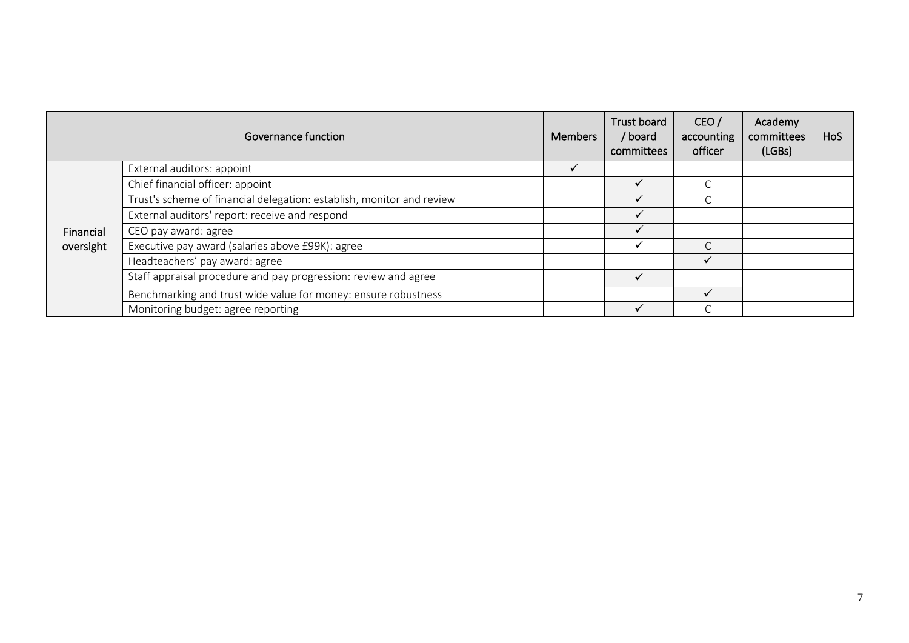|                        | Governance function                                                   | <b>Members</b> | <b>Trust board</b><br>/ board<br>committees | CEO/<br>accounting<br>officer | Academy<br>committees<br>(LGBs) | <b>HoS</b> |
|------------------------|-----------------------------------------------------------------------|----------------|---------------------------------------------|-------------------------------|---------------------------------|------------|
| Financial<br>oversight | External auditors: appoint                                            |                |                                             |                               |                                 |            |
|                        | Chief financial officer: appoint                                      |                |                                             |                               |                                 |            |
|                        | Trust's scheme of financial delegation: establish, monitor and review |                |                                             |                               |                                 |            |
|                        | External auditors' report: receive and respond                        |                | $\checkmark$                                |                               |                                 |            |
|                        | CEO pay award: agree                                                  |                |                                             |                               |                                 |            |
|                        | Executive pay award (salaries above £99K): agree                      |                |                                             |                               |                                 |            |
|                        | Headteachers' pay award: agree                                        |                |                                             |                               |                                 |            |
|                        | Staff appraisal procedure and pay progression: review and agree       |                |                                             |                               |                                 |            |
|                        | Benchmarking and trust wide value for money: ensure robustness        |                |                                             | $\checkmark$                  |                                 |            |
|                        | Monitoring budget: agree reporting                                    |                |                                             |                               |                                 |            |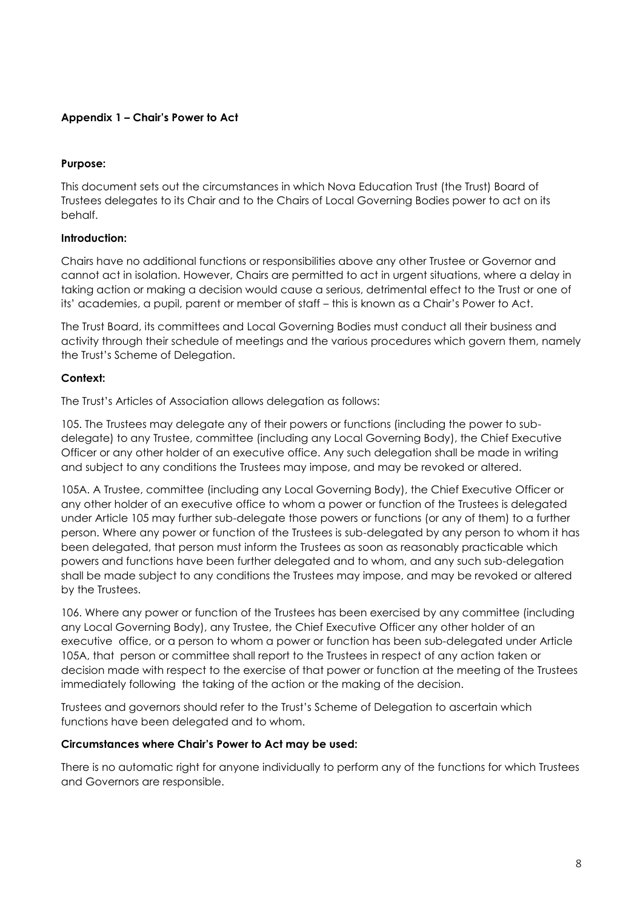## **Appendix 1 – Chair's Power to Act**

## **Purpose:**

This document sets out the circumstances in which Nova Education Trust (the Trust) Board of Trustees delegates to its Chair and to the Chairs of Local Governing Bodies power to act on its behalf.

## **Introduction:**

Chairs have no additional functions or responsibilities above any other Trustee or Governor and cannot act in isolation. However, Chairs are permitted to act in urgent situations, where a delay in taking action or making a decision would cause a serious, detrimental effect to the Trust or one of its' academies, a pupil, parent or member of staff – this is known as a Chair's Power to Act.

The Trust Board, its committees and Local Governing Bodies must conduct all their business and activity through their schedule of meetings and the various procedures which govern them, namely the Trust's Scheme of Delegation.

## **Context:**

The Trust's Articles of Association allows delegation as follows:

105. The Trustees may delegate any of their powers or functions (including the power to subdelegate) to any Trustee, committee (including any Local Governing Body), the Chief Executive Officer or any other holder of an executive office. Any such delegation shall be made in writing and subject to any conditions the Trustees may impose, and may be revoked or altered.

105A. A Trustee, committee (including any Local Governing Body), the Chief Executive Officer or any other holder of an executive office to whom a power or function of the Trustees is delegated under Article 105 may further sub-delegate those powers or functions (or any of them) to a further person. Where any power or function of the Trustees is sub-delegated by any person to whom it has been delegated, that person must inform the Trustees as soon as reasonably practicable which powers and functions have been further delegated and to whom, and any such sub-delegation shall be made subject to any conditions the Trustees may impose, and may be revoked or altered by the Trustees.

106. Where any power or function of the Trustees has been exercised by any committee (including any Local Governing Body), any Trustee, the Chief Executive Officer any other holder of an executive office, or a person to whom a power or function has been sub-delegated under Article 105A, that person or committee shall report to the Trustees in respect of any action taken or decision made with respect to the exercise of that power or function at the meeting of the Trustees immediately following the taking of the action or the making of the decision.

Trustees and governors should refer to the Trust's Scheme of Delegation to ascertain which functions have been delegated and to whom.

## **Circumstances where Chair's Power to Act may be used:**

There is no automatic right for anyone individually to perform any of the functions for which Trustees and Governors are responsible.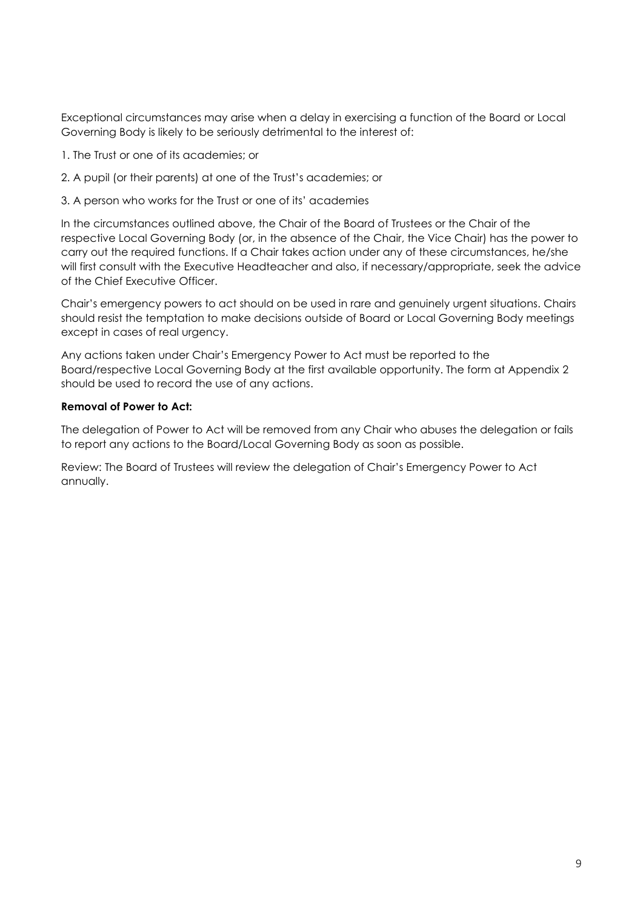Exceptional circumstances may arise when a delay in exercising a function of the Board or Local Governing Body is likely to be seriously detrimental to the interest of:

1. The Trust or one of its academies; or

- 2. A pupil (or their parents) at one of the Trust's academies; or
- 3. A person who works for the Trust or one of its' academies

In the circumstances outlined above, the Chair of the Board of Trustees or the Chair of the respective Local Governing Body (or, in the absence of the Chair, the Vice Chair) has the power to carry out the required functions. If a Chair takes action under any of these circumstances, he/she will first consult with the Executive Headteacher and also, if necessary/appropriate, seek the advice of the Chief Executive Officer.

Chair's emergency powers to act should on be used in rare and genuinely urgent situations. Chairs should resist the temptation to make decisions outside of Board or Local Governing Body meetings except in cases of real urgency.

Any actions taken under Chair's Emergency Power to Act must be reported to the Board/respective Local Governing Body at the first available opportunity. The form at Appendix 2 should be used to record the use of any actions.

## **Removal of Power to Act:**

The delegation of Power to Act will be removed from any Chair who abuses the delegation or fails to report any actions to the Board/Local Governing Body as soon as possible.

Review: The Board of Trustees will review the delegation of Chair's Emergency Power to Act annually.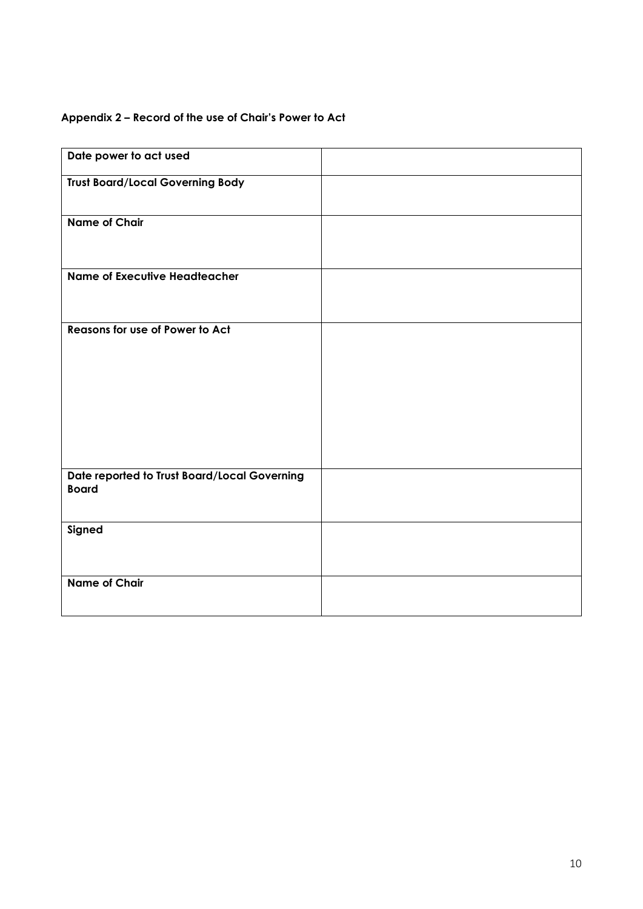## **Appendix 2 – Record of the use of Chair's Power to Act**

| Date power to act used                                       |  |
|--------------------------------------------------------------|--|
| <b>Trust Board/Local Governing Body</b>                      |  |
| <b>Name of Chair</b>                                         |  |
| <b>Name of Executive Headteacher</b>                         |  |
| Reasons for use of Power to Act                              |  |
| Date reported to Trust Board/Local Governing<br><b>Board</b> |  |
| Signed                                                       |  |
| <b>Name of Chair</b>                                         |  |